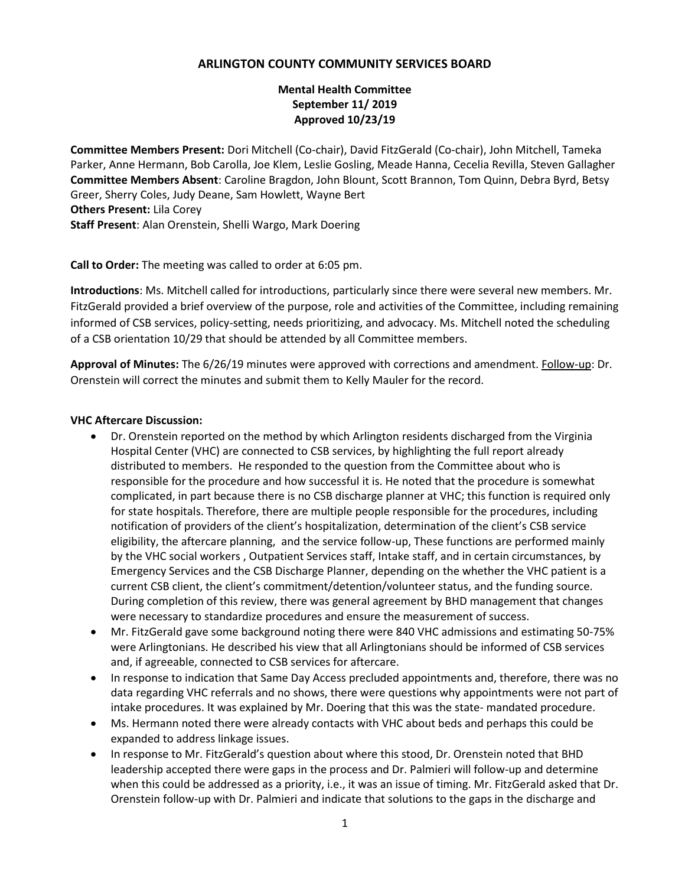# **ARLINGTON COUNTY COMMUNITY SERVICES BOARD**

# **Mental Health Committee September 11/ 2019 Approved 10/23/19**

**Committee Members Present:** Dori Mitchell (Co-chair), David FitzGerald (Co-chair), John Mitchell, Tameka Parker, Anne Hermann, Bob Carolla, Joe Klem, Leslie Gosling, Meade Hanna, Cecelia Revilla, Steven Gallagher **Committee Members Absent**: Caroline Bragdon, John Blount, Scott Brannon, Tom Quinn, Debra Byrd, Betsy Greer, Sherry Coles, Judy Deane, Sam Howlett, Wayne Bert **Others Present:** Lila Corey **Staff Present**: Alan Orenstein, Shelli Wargo, Mark Doering

**Call to Order:** The meeting was called to order at 6:05 pm.

**Introductions**: Ms. Mitchell called for introductions, particularly since there were several new members. Mr. FitzGerald provided a brief overview of the purpose, role and activities of the Committee, including remaining informed of CSB services, policy-setting, needs prioritizing, and advocacy. Ms. Mitchell noted the scheduling of a CSB orientation 10/29 that should be attended by all Committee members.

**Approval of Minutes:** The 6/26/19 minutes were approved with corrections and amendment. Follow-up: Dr. Orenstein will correct the minutes and submit them to Kelly Mauler for the record.

#### **VHC Aftercare Discussion:**

- Dr. Orenstein reported on the method by which Arlington residents discharged from the Virginia Hospital Center (VHC) are connected to CSB services, by highlighting the full report already distributed to members. He responded to the question from the Committee about who is responsible for the procedure and how successful it is. He noted that the procedure is somewhat complicated, in part because there is no CSB discharge planner at VHC; this function is required only for state hospitals. Therefore, there are multiple people responsible for the procedures, including notification of providers of the client's hospitalization, determination of the client's CSB service eligibility, the aftercare planning, and the service follow-up, These functions are performed mainly by the VHC social workers , Outpatient Services staff, Intake staff, and in certain circumstances, by Emergency Services and the CSB Discharge Planner, depending on the whether the VHC patient is a current CSB client, the client's commitment/detention/volunteer status, and the funding source. During completion of this review, there was general agreement by BHD management that changes were necessary to standardize procedures and ensure the measurement of success.
- Mr. FitzGerald gave some background noting there were 840 VHC admissions and estimating 50-75% were Arlingtonians. He described his view that all Arlingtonians should be informed of CSB services and, if agreeable, connected to CSB services for aftercare.
- In response to indication that Same Day Access precluded appointments and, therefore, there was no data regarding VHC referrals and no shows, there were questions why appointments were not part of intake procedures. It was explained by Mr. Doering that this was the state- mandated procedure.
- Ms. Hermann noted there were already contacts with VHC about beds and perhaps this could be expanded to address linkage issues.
- In response to Mr. FitzGerald's question about where this stood, Dr. Orenstein noted that BHD leadership accepted there were gaps in the process and Dr. Palmieri will follow-up and determine when this could be addressed as a priority, i.e., it was an issue of timing. Mr. FitzGerald asked that Dr. Orenstein follow-up with Dr. Palmieri and indicate that solutions to the gaps in the discharge and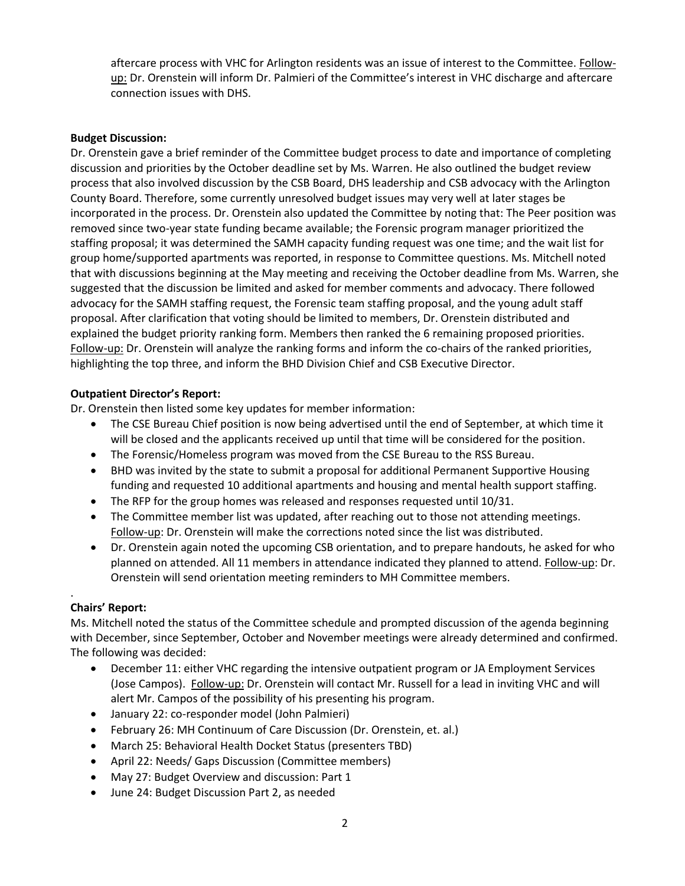aftercare process with VHC for Arlington residents was an issue of interest to the Committee. Followup: Dr. Orenstein will inform Dr. Palmieri of the Committee's interest in VHC discharge and aftercare connection issues with DHS.

# **Budget Discussion:**

Dr. Orenstein gave a brief reminder of the Committee budget process to date and importance of completing discussion and priorities by the October deadline set by Ms. Warren. He also outlined the budget review process that also involved discussion by the CSB Board, DHS leadership and CSB advocacy with the Arlington County Board. Therefore, some currently unresolved budget issues may very well at later stages be incorporated in the process. Dr. Orenstein also updated the Committee by noting that: The Peer position was removed since two-year state funding became available; the Forensic program manager prioritized the staffing proposal; it was determined the SAMH capacity funding request was one time; and the wait list for group home/supported apartments was reported, in response to Committee questions. Ms. Mitchell noted that with discussions beginning at the May meeting and receiving the October deadline from Ms. Warren, she suggested that the discussion be limited and asked for member comments and advocacy. There followed advocacy for the SAMH staffing request, the Forensic team staffing proposal, and the young adult staff proposal. After clarification that voting should be limited to members, Dr. Orenstein distributed and explained the budget priority ranking form. Members then ranked the 6 remaining proposed priorities. Follow-up: Dr. Orenstein will analyze the ranking forms and inform the co-chairs of the ranked priorities, highlighting the top three, and inform the BHD Division Chief and CSB Executive Director.

# **Outpatient Director's Report:**

Dr. Orenstein then listed some key updates for member information:

- The CSE Bureau Chief position is now being advertised until the end of September, at which time it will be closed and the applicants received up until that time will be considered for the position.
- The Forensic/Homeless program was moved from the CSE Bureau to the RSS Bureau.
- BHD was invited by the state to submit a proposal for additional Permanent Supportive Housing funding and requested 10 additional apartments and housing and mental health support staffing.
- The RFP for the group homes was released and responses requested until 10/31.
- The Committee member list was updated, after reaching out to those not attending meetings. Follow-up: Dr. Orenstein will make the corrections noted since the list was distributed.
- Dr. Orenstein again noted the upcoming CSB orientation, and to prepare handouts, he asked for who planned on attended. All 11 members in attendance indicated they planned to attend. Follow-up: Dr. Orenstein will send orientation meeting reminders to MH Committee members.

#### . **Chairs' Report:**

Ms. Mitchell noted the status of the Committee schedule and prompted discussion of the agenda beginning with December, since September, October and November meetings were already determined and confirmed. The following was decided:

- December 11: either VHC regarding the intensive outpatient program or JA Employment Services (Jose Campos). Follow-up: Dr. Orenstein will contact Mr. Russell for a lead in inviting VHC and will alert Mr. Campos of the possibility of his presenting his program.
- January 22: co-responder model (John Palmieri)
- February 26: MH Continuum of Care Discussion (Dr. Orenstein, et. al.)
- March 25: Behavioral Health Docket Status (presenters TBD)
- April 22: Needs/ Gaps Discussion (Committee members)
- May 27: Budget Overview and discussion: Part 1
- June 24: Budget Discussion Part 2, as needed